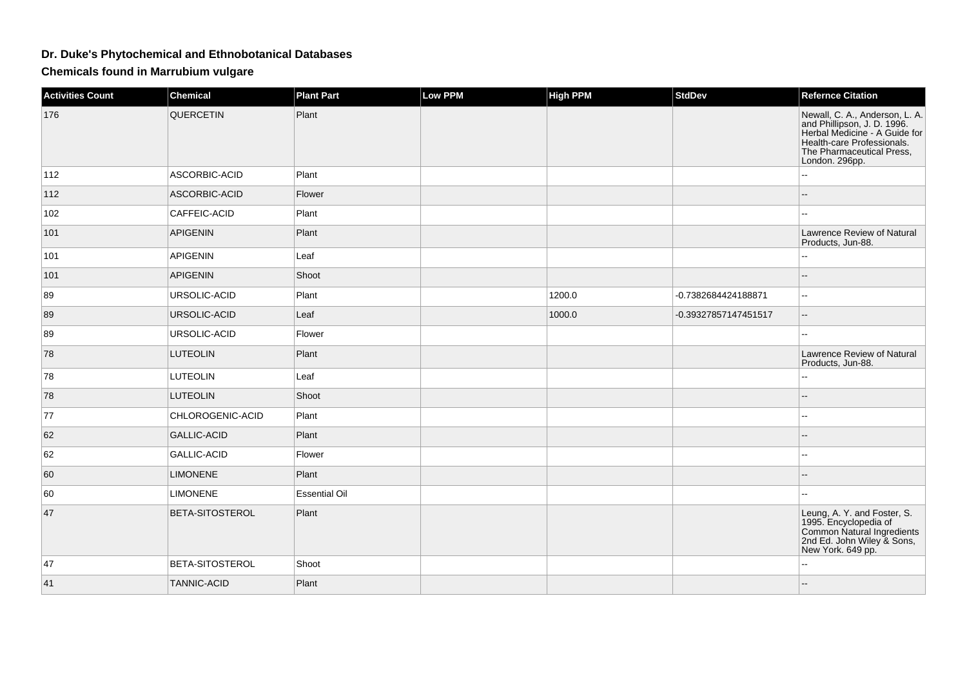## **Dr. Duke's Phytochemical and Ethnobotanical Databases**

**Chemicals found in Marrubium vulgare**

| <b>Activities Count</b> | <b>Chemical</b>    | <b>Plant Part</b>    | <b>Low PPM</b> | <b>High PPM</b> | <b>StdDev</b>        | <b>Refernce Citation</b>                                                                                                                                                    |
|-------------------------|--------------------|----------------------|----------------|-----------------|----------------------|-----------------------------------------------------------------------------------------------------------------------------------------------------------------------------|
| 176                     | QUERCETIN          | Plant                |                |                 |                      | Newall, C. A., Anderson, L. A.<br>and Phillipson, J. D. 1996.<br>Herbal Medicine - A Guide for<br>Health-care Professionals.<br>The Pharmaceutical Press,<br>London. 296pp. |
| 112                     | ASCORBIC-ACID      | Plant                |                |                 |                      | $\overline{a}$                                                                                                                                                              |
| 112                     | ASCORBIC-ACID      | Flower               |                |                 |                      | --                                                                                                                                                                          |
| 102                     | CAFFEIC-ACID       | Plant                |                |                 |                      | $\sim$                                                                                                                                                                      |
| 101                     | <b>APIGENIN</b>    | Plant                |                |                 |                      | Lawrence Review of Natural<br>Products, Jun-88.                                                                                                                             |
| 101                     | <b>APIGENIN</b>    | Leaf                 |                |                 |                      |                                                                                                                                                                             |
| 101                     | <b>APIGENIN</b>    | Shoot                |                |                 |                      | --                                                                                                                                                                          |
| 89                      | URSOLIC-ACID       | Plant                |                | 1200.0          | -0.7382684424188871  | $\sim$                                                                                                                                                                      |
| 89                      | URSOLIC-ACID       | Leaf                 |                | 1000.0          | -0.39327857147451517 | $\overline{\phantom{a}}$                                                                                                                                                    |
| 89                      | URSOLIC-ACID       | Flower               |                |                 |                      | $\sim$                                                                                                                                                                      |
| 78                      | <b>LUTEOLIN</b>    | Plant                |                |                 |                      | Lawrence Review of Natural<br>Products, Jun-88.                                                                                                                             |
| 78                      | <b>LUTEOLIN</b>    | Leaf                 |                |                 |                      |                                                                                                                                                                             |
| 78                      | <b>LUTEOLIN</b>    | Shoot                |                |                 |                      | $-$                                                                                                                                                                         |
| 77                      | CHLOROGENIC-ACID   | Plant                |                |                 |                      | $\sim$                                                                                                                                                                      |
| 62                      | <b>GALLIC-ACID</b> | Plant                |                |                 |                      |                                                                                                                                                                             |
| 62                      | <b>GALLIC-ACID</b> | Flower               |                |                 |                      | ۵.                                                                                                                                                                          |
| 60                      | <b>LIMONENE</b>    | Plant                |                |                 |                      |                                                                                                                                                                             |
| 60                      | <b>LIMONENE</b>    | <b>Essential Oil</b> |                |                 |                      | $\overline{a}$                                                                                                                                                              |
| 47                      | BETA-SITOSTEROL    | Plant                |                |                 |                      | Leung, A. Y. and Foster, S.<br>1995. Encyclopedia of<br>Common Natural Ingredients<br>2nd Ed. John Wiley & Sons,<br>New York. 649 pp.                                       |
| 47                      | BETA-SITOSTEROL    | Shoot                |                |                 |                      | $\overline{\phantom{a}}$                                                                                                                                                    |
| 41                      | <b>TANNIC-ACID</b> | Plant                |                |                 |                      |                                                                                                                                                                             |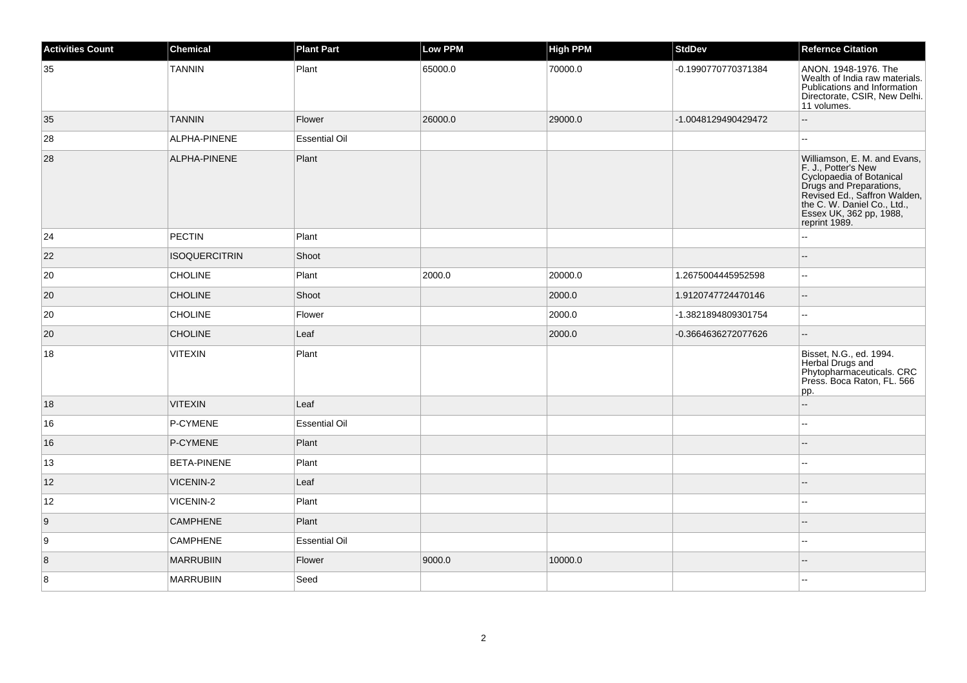| <b>Activities Count</b> | <b>Chemical</b>      | <b>Plant Part</b>    | <b>Low PPM</b> | <b>High PPM</b> | <b>StdDev</b>       | <b>Refernce Citation</b>                                                                                                                                                                                                                    |
|-------------------------|----------------------|----------------------|----------------|-----------------|---------------------|---------------------------------------------------------------------------------------------------------------------------------------------------------------------------------------------------------------------------------------------|
| 35                      | <b>TANNIN</b>        | Plant                | 65000.0        | 70000.0         | -0.1990770770371384 | ANON. 1948-1976. The<br>Wealth of India raw materials.<br>Publications and Information<br>Directorate, CSIR, New Delhi.<br>11 volumes.                                                                                                      |
| 35                      | <b>TANNIN</b>        | Flower               | 26000.0        | 29000.0         | -1.0048129490429472 | $-$                                                                                                                                                                                                                                         |
| 28                      | ALPHA-PINENE         | <b>Essential Oil</b> |                |                 |                     |                                                                                                                                                                                                                                             |
| 28                      | ALPHA-PINENE         | Plant                |                |                 |                     | Williamson, E. M. and Evans,<br>F. J., Potter's New<br>P. J., Pouel s New<br>Cyclopaedia of Botanical<br>Drugs and Preparations,<br>Revised Ed., Saffron Walden,<br>the C. W. Daniel Co., Ltd.,<br>Essex UK, 362 pp, 1988,<br>reprint 1989. |
| 24                      | <b>PECTIN</b>        | Plant                |                |                 |                     | $\overline{a}$                                                                                                                                                                                                                              |
| 22                      | <b>ISOQUERCITRIN</b> | Shoot                |                |                 |                     |                                                                                                                                                                                                                                             |
| 20                      | <b>CHOLINE</b>       | Plant                | 2000.0         | 20000.0         | 1.2675004445952598  | 44                                                                                                                                                                                                                                          |
| 20                      | <b>CHOLINE</b>       | Shoot                |                | 2000.0          | 1.9120747724470146  | $\overline{a}$                                                                                                                                                                                                                              |
| 20                      | CHOLINE              | Flower               |                | 2000.0          | -1.3821894809301754 | Ξ.                                                                                                                                                                                                                                          |
| 20                      | <b>CHOLINE</b>       | Leaf                 |                | 2000.0          | -0.3664636272077626 | --                                                                                                                                                                                                                                          |
| 18                      | <b>VITEXIN</b>       | Plant                |                |                 |                     | Bisset, N.G., ed. 1994.<br>Herbal Drugs and<br>Phytopharmaceuticals. CRC<br>Press. Boca Raton, FL. 566<br>pp.                                                                                                                               |
| 18                      | <b>VITEXIN</b>       | Leaf                 |                |                 |                     |                                                                                                                                                                                                                                             |
| 16                      | P-CYMENE             | <b>Essential Oil</b> |                |                 |                     |                                                                                                                                                                                                                                             |
| 16                      | P-CYMENE             | Plant                |                |                 |                     |                                                                                                                                                                                                                                             |
| 13                      | <b>BETA-PINENE</b>   | Plant                |                |                 |                     | --                                                                                                                                                                                                                                          |
| 12                      | <b>VICENIN-2</b>     | Leaf                 |                |                 |                     | --                                                                                                                                                                                                                                          |
| 12                      | VICENIN-2            | Plant                |                |                 |                     | $\sim$                                                                                                                                                                                                                                      |
| 9                       | <b>CAMPHENE</b>      | Plant                |                |                 |                     |                                                                                                                                                                                                                                             |
| 9                       | <b>CAMPHENE</b>      | <b>Essential Oil</b> |                |                 |                     | $\overline{a}$                                                                                                                                                                                                                              |
| 8                       | <b>MARRUBIIN</b>     | Flower               | 9000.0         | 10000.0         |                     |                                                                                                                                                                                                                                             |
| 8                       | <b>MARRUBIIN</b>     | Seed                 |                |                 |                     | $-1$                                                                                                                                                                                                                                        |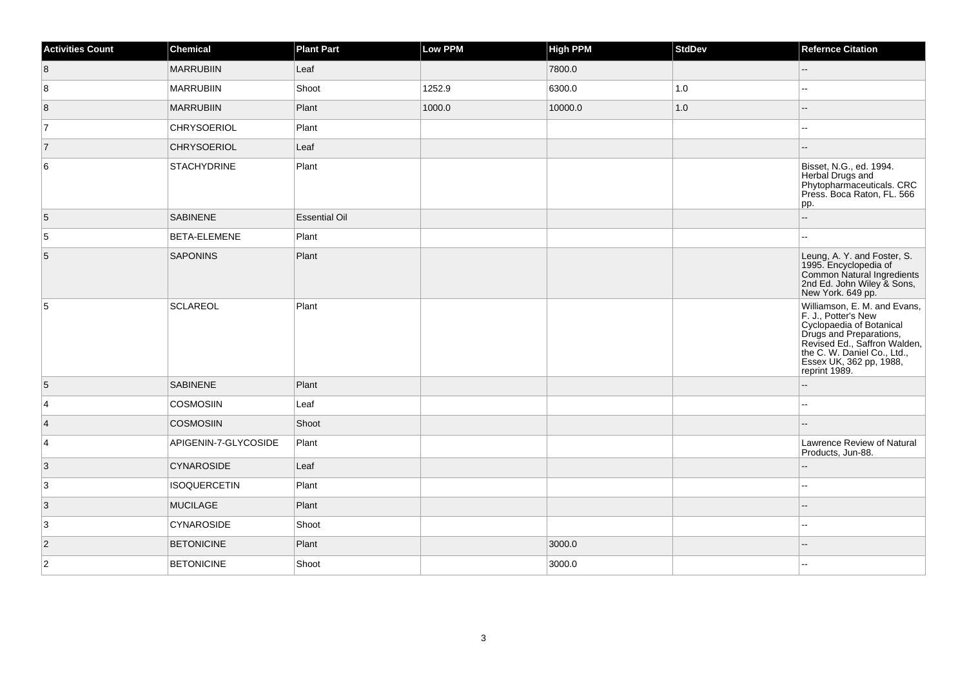| <b>Activities Count</b> | <b>Chemical</b>      | <b>Plant Part</b>    | <b>Low PPM</b> | <b>High PPM</b> | <b>StdDev</b> | <b>Refernce Citation</b>                                                                                                                                                                                                                            |
|-------------------------|----------------------|----------------------|----------------|-----------------|---------------|-----------------------------------------------------------------------------------------------------------------------------------------------------------------------------------------------------------------------------------------------------|
| 8                       | <b>MARRUBIIN</b>     | Leaf                 |                | 7800.0          |               | -−                                                                                                                                                                                                                                                  |
| 8                       | <b>MARRUBIIN</b>     | Shoot                | 1252.9         | 6300.0          | 1.0           | $\overline{a}$                                                                                                                                                                                                                                      |
| 8                       | <b>MARRUBIIN</b>     | Plant                | 1000.0         | 10000.0         | 1.0           |                                                                                                                                                                                                                                                     |
| 7                       | <b>CHRYSOERIOL</b>   | Plant                |                |                 |               | ۰.                                                                                                                                                                                                                                                  |
| $\overline{7}$          | <b>CHRYSOERIOL</b>   | Leaf                 |                |                 |               | --                                                                                                                                                                                                                                                  |
| 6                       | <b>STACHYDRINE</b>   | Plant                |                |                 |               | Bisset, N.G., ed. 1994.<br>Herbal Drugs and<br>Phytopharmaceuticals. CRC<br>Press. Boca Raton, FL. 566<br>pp.                                                                                                                                       |
| 5                       | <b>SABINENE</b>      | <b>Essential Oil</b> |                |                 |               | ш,                                                                                                                                                                                                                                                  |
| 5                       | BETA-ELEMENE         | Plant                |                |                 |               | шш.                                                                                                                                                                                                                                                 |
| $\mathbf 5$             | <b>SAPONINS</b>      | Plant                |                |                 |               | Leung, A. Y. and Foster, S.<br>1995. Encyclopedia of<br>Common Natural Ingredients<br>2nd Ed. John Wiley & Sons,<br>New York. 649 pp.                                                                                                               |
| 5                       | <b>SCLAREOL</b>      | Plant                |                |                 |               | Williamson, E. M. and Evans,<br>F. J., Potter's New<br>Priority and Preparations,<br>Cyclopaedia of Botanical<br>Drugs and Preparations,<br>Revised Ed., Saffron Walden,<br>the C. W. Daniel Co., Ltd.,<br>Essex UK, 362 pp, 1988,<br>reprint 1989. |
| 5                       | <b>SABINENE</b>      | Plant                |                |                 |               | $\overline{a}$                                                                                                                                                                                                                                      |
| 4                       | <b>COSMOSIIN</b>     | Leaf                 |                |                 |               | --                                                                                                                                                                                                                                                  |
| $\vert$ 4               | <b>COSMOSIIN</b>     | Shoot                |                |                 |               |                                                                                                                                                                                                                                                     |
| 4                       | APIGENIN-7-GLYCOSIDE | Plant                |                |                 |               | Lawrence Review of Natural<br>Products, Jun-88.                                                                                                                                                                                                     |
| 3                       | <b>CYNAROSIDE</b>    | Leaf                 |                |                 |               | $-$                                                                                                                                                                                                                                                 |
| 3                       | <b>ISOQUERCETIN</b>  | Plant                |                |                 |               | $\sim$                                                                                                                                                                                                                                              |
| $\vert 3 \vert$         | <b>MUCILAGE</b>      | Plant                |                |                 |               |                                                                                                                                                                                                                                                     |
| 3                       | <b>CYNAROSIDE</b>    | Shoot                |                |                 |               | $\overline{a}$                                                                                                                                                                                                                                      |
| $\overline{2}$          | <b>BETONICINE</b>    | Plant                |                | 3000.0          |               |                                                                                                                                                                                                                                                     |
| $\overline{2}$          | <b>BETONICINE</b>    | Shoot                |                | 3000.0          |               | ÷÷.                                                                                                                                                                                                                                                 |